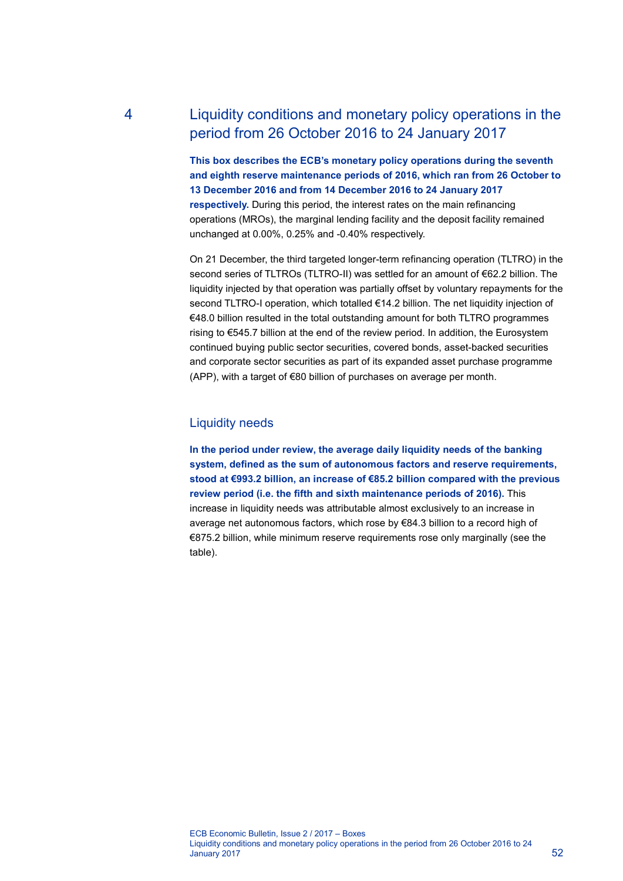# 4 Liquidity conditions and monetary policy operations in the period from 26 October 2016 to 24 January 2017

**This box describes the ECB's monetary policy operations during the seventh and eighth reserve maintenance periods of 2016, which ran from 26 October to 13 December 2016 and from 14 December 2016 to 24 January 2017 respectively.** During this period, the interest rates on the main refinancing operations (MROs), the marginal lending facility and the deposit facility remained unchanged at 0.00%, 0.25% and -0.40% respectively.

On 21 December, the third targeted longer-term refinancing operation (TLTRO) in the second series of TLTROs (TLTRO-II) was settled for an amount of €62.2 billion. The liquidity injected by that operation was partially offset by voluntary repayments for the second TLTRO-I operation, which totalled €14.2 billion. The net liquidity injection of €48.0 billion resulted in the total outstanding amount for both TLTRO programmes rising to €545.7 billion at the end of the review period. In addition, the Eurosystem continued buying public sector securities, covered bonds, asset-backed securities and corporate sector securities as part of its expanded asset purchase programme (APP), with a target of €80 billion of purchases on average per month.

# Liquidity needs

**In the period under review, the average daily liquidity needs of the banking system, defined as the sum of autonomous factors and reserve requirements, stood at €993.2 billion, an increase of €85.2 billion compared with the previous review period (i.e. the fifth and sixth maintenance periods of 2016).** This increase in liquidity needs was attributable almost exclusively to an increase in average net autonomous factors, which rose by €84.3 billion to a record high of €875.2 billion, while minimum reserve requirements rose only marginally (see the table).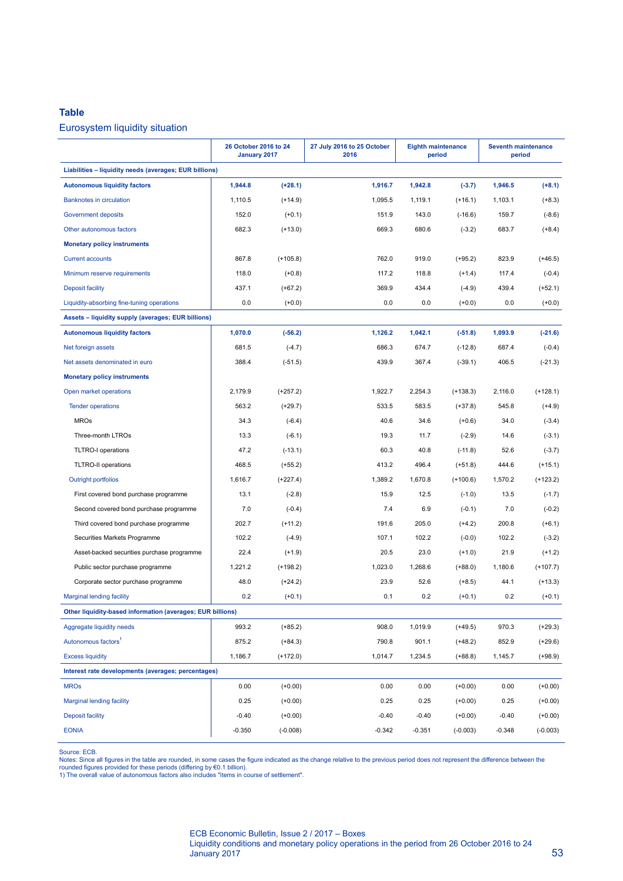#### **Table**

### Eurosystem liquidity situation

|                                                            | 26 October 2016 to 24<br>January 2017 |            | 27 July 2016 to 25 October<br>2016 | <b>Eighth maintenance</b><br>period |            | <b>Seventh maintenance</b><br>period |            |
|------------------------------------------------------------|---------------------------------------|------------|------------------------------------|-------------------------------------|------------|--------------------------------------|------------|
| Liabilities - liquidity needs (averages; EUR billions)     |                                       |            |                                    |                                     |            |                                      |            |
| <b>Autonomous liquidity factors</b>                        | 1,944.8                               | $(+28.1)$  | 1,916.7                            | 1,942.8                             | $(-3.7)$   | 1,946.5                              | $(+8.1)$   |
| <b>Banknotes in circulation</b>                            | 1,110.5                               | $(+14.9)$  | 1,095.5                            | 1,119.1                             | $(+16.1)$  | 1,103.1                              | $(+8.3)$   |
| <b>Government deposits</b>                                 | 152.0                                 | $(+0.1)$   | 151.9                              | 143.0                               | $(-16.6)$  | 159.7                                | $(-8.6)$   |
| Other autonomous factors                                   | 682.3                                 | $(+13.0)$  | 669.3                              | 680.6                               | $(-3.2)$   | 683.7                                | $(+8.4)$   |
| <b>Monetary policy instruments</b>                         |                                       |            |                                    |                                     |            |                                      |            |
| <b>Current accounts</b>                                    | 867.8                                 | $(+105.8)$ | 762.0                              | 919.0                               | $(+95.2)$  | 823.9                                | $(+46.5)$  |
| Minimum reserve requirements                               | 118.0                                 | $(+0.8)$   | 117.2                              | 118.8                               | $(+1.4)$   | 117.4                                | $(-0.4)$   |
| <b>Deposit facility</b>                                    | 437.1                                 | $(+67.2)$  | 369.9                              | 434.4                               | $(-4.9)$   | 439.4                                | $(+52.1)$  |
| Liquidity-absorbing fine-tuning operations                 | 0.0                                   | $(+0.0)$   | 0.0                                | 0.0                                 | $(+0.0)$   | 0.0                                  | $(+0.0)$   |
| Assets - liquidity supply (averages; EUR billions)         |                                       |            |                                    |                                     |            |                                      |            |
| <b>Autonomous liquidity factors</b>                        | 1,070.0                               | $(-56.2)$  | 1,126.2                            | 1,042.1                             | $(-51.8)$  | 1,093.9                              | $(-21.6)$  |
| Net foreign assets                                         | 681.5                                 | $(-4.7)$   | 686.3                              | 674.7                               | $(-12.8)$  | 687.4                                | $(-0.4)$   |
| Net assets denominated in euro                             | 388.4                                 | $(-51.5)$  | 439.9                              | 367.4                               | $(-39.1)$  | 406.5                                | $(-21.3)$  |
| <b>Monetary policy instruments</b>                         |                                       |            |                                    |                                     |            |                                      |            |
| Open market operations                                     | 2,179.9                               | $(+257.2)$ | 1,922.7                            | 2,254.3                             | $(+138.3)$ | 2,116.0                              | $(+128.1)$ |
| <b>Tender operations</b>                                   | 563.2                                 | $(+29.7)$  | 533.5                              | 583.5                               | $(+37.8)$  | 545.8                                | $(+4.9)$   |
| <b>MROs</b>                                                | 34.3                                  | $(-6.4)$   | 40.6                               | 34.6                                | $(+0.6)$   | 34.0                                 | $(-3.4)$   |
| Three-month LTROs                                          | 13.3                                  | $(-6.1)$   | 19.3                               | 11.7                                | $(-2.9)$   | 14.6                                 | $(-3.1)$   |
| <b>TLTRO-I operations</b>                                  | 47.2                                  | $(-13.1)$  | 60.3                               | 40.8                                | $(-11.8)$  | 52.6                                 | $(-3.7)$   |
| <b>TLTRO-II operations</b>                                 | 468.5                                 | $(+55.2)$  | 413.2                              | 496.4                               | $(+51.8)$  | 444.6                                | $(+15.1)$  |
| <b>Outright portfolios</b>                                 | 1,616.7                               | $(+227.4)$ | 1,389.2                            | 1,670.8                             | $(+100.6)$ | 1,570.2                              | $(+123.2)$ |
| First covered bond purchase programme                      | 13.1                                  | $(-2.8)$   | 15.9                               | 12.5                                | $(-1.0)$   | 13.5                                 | $(-1.7)$   |
| Second covered bond purchase programme                     | 7.0                                   | $(-0.4)$   | 7.4                                | 6.9                                 | $(-0.1)$   | 7.0                                  | $(-0.2)$   |
| Third covered bond purchase programme                      | 202.7                                 | $(+11.2)$  | 191.6                              | 205.0                               | $(+4.2)$   | 200.8                                | $(+6.1)$   |
| Securities Markets Programme                               | 102.2                                 | $(-4.9)$   | 107.1                              | 102.2                               | $(-0.0)$   | 102.2                                | $(-3.2)$   |
| Asset-backed securities purchase programme                 | 22.4                                  | $(+1.9)$   | 20.5                               | 23.0                                | $(+1.0)$   | 21.9                                 | $(+1.2)$   |
| Public sector purchase programme                           | 1.221.2                               | $(+198.2)$ | 1,023.0                            | 1,268.6                             | $(+88.0)$  | 1,180.6                              | $(+107.7)$ |
| Corporate sector purchase programme                        | 48.0                                  | $(+24.2)$  | 23.9                               | 52.6                                | $(+8.5)$   | 44.1                                 | $(+13.3)$  |
| <b>Marginal lending facility</b>                           | 0.2                                   | $(+0.1)$   | 0.1                                | 0.2                                 | $(+0.1)$   | 0.2                                  | $(+0.1)$   |
| Other liquidity-based information (averages; EUR billions) |                                       |            |                                    |                                     |            |                                      |            |
| Aggregate liquidity needs                                  | 993.2                                 | $(+85.2)$  | 908.0                              | 1,019.9                             | $(+49.5)$  | 970.3                                | $(+29.3)$  |
| Autonomous factors <sup>1</sup>                            | 875.2                                 | $(+84.3)$  | 790.8                              | 901.1                               | $(+48.2)$  | 852.9                                | $(+29.6)$  |
| <b>Excess liquidity</b>                                    | 1,186.7                               | $(+172.0)$ | 1,014.7                            | 1,234.5                             | $(+88.8)$  | 1,145.7                              | $(+98.9)$  |
| Interest rate developments (averages; percentages)         |                                       |            |                                    |                                     |            |                                      |            |
| <b>MROs</b>                                                | 0.00                                  | $(+0.00)$  | 0.00                               | 0.00                                | $(+0.00)$  | 0.00                                 | $(+0.00)$  |
| <b>Marginal lending facility</b>                           | 0.25                                  | $(+0.00)$  | 0.25                               | 0.25                                | $(+0.00)$  | 0.25                                 | $(+0.00)$  |
| <b>Deposit facility</b>                                    | $-0.40$                               | $(+0.00)$  | $-0.40$                            | $-0.40$                             | $(+0.00)$  | $-0.40$                              | $(+0.00)$  |
| <b>EONIA</b>                                               | $-0.350$                              | $(-0.008)$ | $-0.342$                           | $-0.351$                            | $(-0.003)$ | $-0.348$                             | $(-0.003)$ |

Source: ECB.<br>Notes: Since all figures in the table are rounded, in some cases the figure indicated as the change relative to the previous period does not represent the difference between the<br>rounded figures provided for t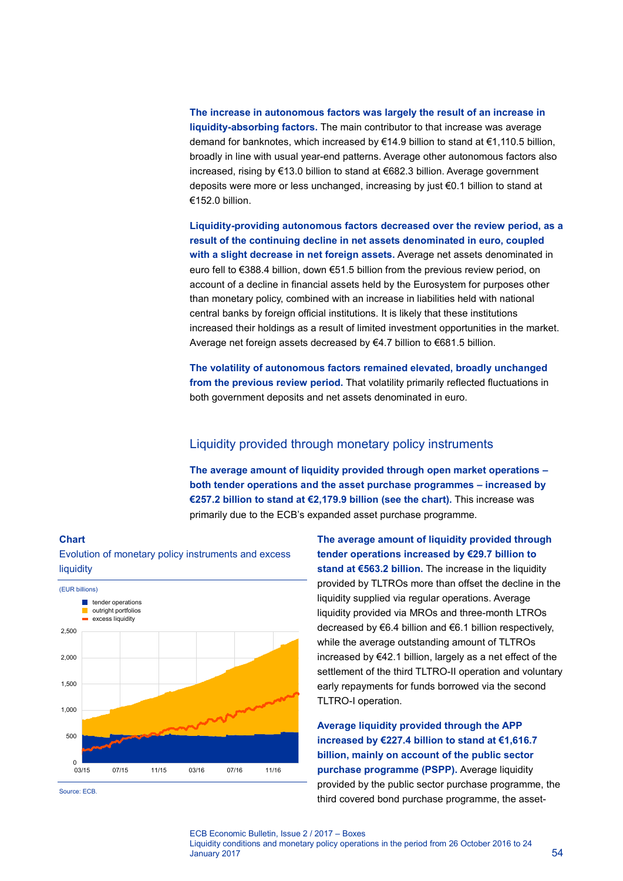**The increase in autonomous factors was largely the result of an increase in liquidity-absorbing factors.** The main contributor to that increase was average demand for banknotes, which increased by €14.9 billion to stand at €1,110.5 billion, broadly in line with usual year-end patterns. Average other autonomous factors also increased, rising by €13.0 billion to stand at €682.3 billion. Average government deposits were more or less unchanged, increasing by just €0.1 billion to stand at €152.0 billion.

**Liquidity-providing autonomous factors decreased over the review period, as a result of the continuing decline in net assets denominated in euro, coupled with a slight decrease in net foreign assets.** Average net assets denominated in euro fell to €388.4 billion, down €51.5 billion from the previous review period, on account of a decline in financial assets held by the Eurosystem for purposes other than monetary policy, combined with an increase in liabilities held with national central banks by foreign official institutions. It is likely that these institutions increased their holdings as a result of limited investment opportunities in the market. Average net foreign assets decreased by €4.7 billion to €681.5 billion.

**The volatility of autonomous factors remained elevated, broadly unchanged from the previous review period.** That volatility primarily reflected fluctuations in both government deposits and net assets denominated in euro.

# Liquidity provided through monetary policy instruments

**The average amount of liquidity provided through open market operations – both tender operations and the asset purchase programmes – increased by €257.2 billion to stand at €2,179.9 billion (see the chart).** This increase was primarily due to the ECB's expanded asset purchase programme.



Evolution of monetary policy instruments and excess

Source: ECB.

**Chart**

**The average amount of liquidity provided through tender operations increased by €29.7 billion to stand at €563.2 billion.** The increase in the liquidity provided by TLTROs more than offset the decline in the liquidity supplied via regular operations. Average liquidity provided via MROs and three-month LTROs decreased by €6.4 billion and €6.1 billion respectively, while the average outstanding amount of TLTROs increased by €42.1 billion, largely as a net effect of the settlement of the third TLTRO-II operation and voluntary early repayments for funds borrowed via the second TLTRO-I operation.

**Average liquidity provided through the APP increased by €227.4 billion to stand at €1,616.7 billion, mainly on account of the public sector purchase programme (PSPP).** Average liquidity provided by the public sector purchase programme, the third covered bond purchase programme, the asset-

#### ECB Economic Bulletin, Issue 2 / 2017 – Boxes Liquidity conditions and monetary policy operations in the period from 26 October 2016 to 24  $J$ anuary 2017  $\frac{54}{54}$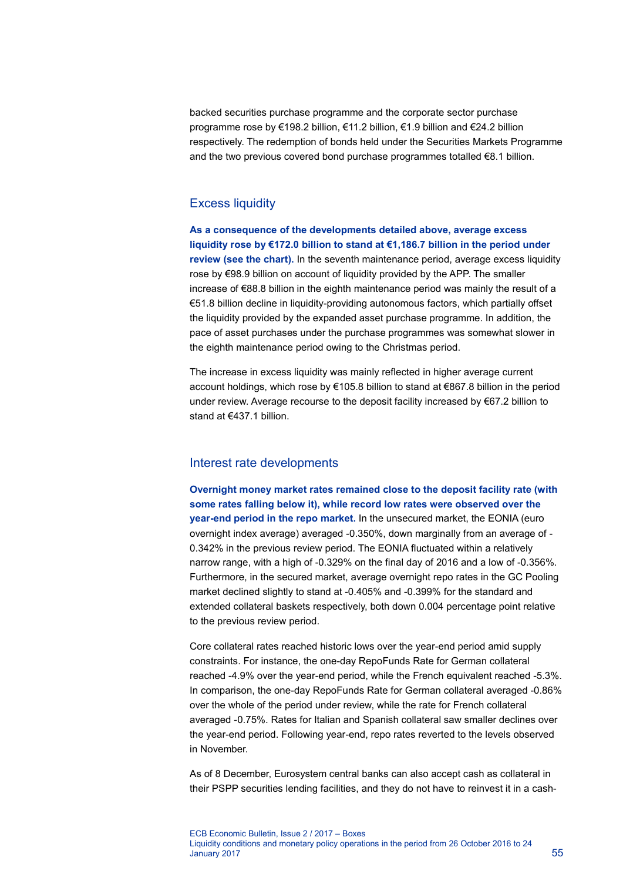backed securities purchase programme and the corporate sector purchase programme rose by €198.2 billion, €11.2 billion, €1.9 billion and €24.2 billion respectively. The redemption of bonds held under the Securities Markets Programme and the two previous covered bond purchase programmes totalled €8.1 billion.

# Excess liquidity

**As a consequence of the developments detailed above, average excess liquidity rose by €172.0 billion to stand at €1,186.7 billion in the period under review (see the chart).** In the seventh maintenance period, average excess liquidity rose by €98.9 billion on account of liquidity provided by the APP. The smaller increase of €88.8 billion in the eighth maintenance period was mainly the result of a €51.8 billion decline in liquidity-providing autonomous factors, which partially offset the liquidity provided by the expanded asset purchase programme. In addition, the pace of asset purchases under the purchase programmes was somewhat slower in the eighth maintenance period owing to the Christmas period.

The increase in excess liquidity was mainly reflected in higher average current account holdings, which rose by €105.8 billion to stand at €867.8 billion in the period under review. Average recourse to the deposit facility increased by €67.2 billion to stand at €437.1 billion.

## Interest rate developments

**Overnight money market rates remained close to the deposit facility rate (with some rates falling below it), while record low rates were observed over the year-end period in the repo market.** In the unsecured market, the EONIA (euro overnight index average) averaged -0.350%, down marginally from an average of - 0.342% in the previous review period. The EONIA fluctuated within a relatively narrow range, with a high of -0.329% on the final day of 2016 and a low of -0.356%. Furthermore, in the secured market, average overnight repo rates in the GC Pooling market declined slightly to stand at -0.405% and -0.399% for the standard and extended collateral baskets respectively, both down 0.004 percentage point relative to the previous review period.

Core collateral rates reached historic lows over the year-end period amid supply constraints. For instance, the one-day RepoFunds Rate for German collateral reached -4.9% over the year-end period, while the French equivalent reached -5.3%. In comparison, the one-day RepoFunds Rate for German collateral averaged -0.86% over the whole of the period under review, while the rate for French collateral averaged -0.75%. Rates for Italian and Spanish collateral saw smaller declines over the year-end period. Following year-end, repo rates reverted to the levels observed in November.

As of 8 December, Eurosystem central banks can also accept cash as collateral in their PSPP securities lending facilities, and they do not have to reinvest it in a cash